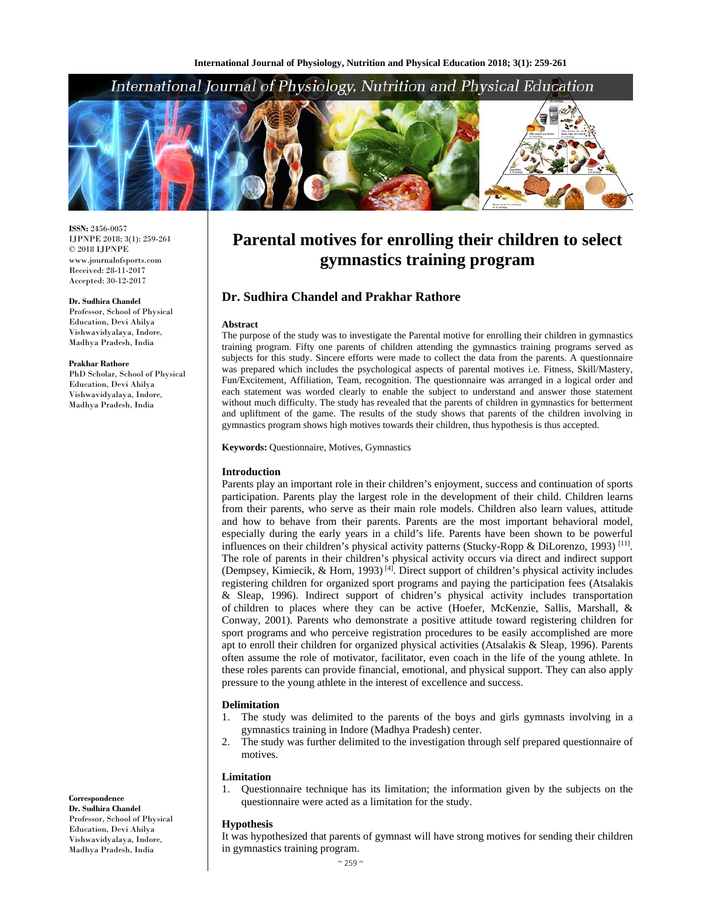## International Journal of Physiology, Nutrition and Physical Education



**ISSN:** 2456-0057 IJPNPE 2018; 3(1): 259-261 © 2018 IJPNPE www.journalofsports.com Received: 28-11-2017 Accepted: 30-12-2017

#### **Dr. Sudhira Chandel**

Professor, School of Physical Education, Devi Ahilya Vishwavidyalaya, Indore, Madhya Pradesh, India

#### **Prakhar Rathore**

PhD Scholar, School of Physical Education, Devi Ahilya Vishwavidyalaya, Indore, Madhya Pradesh, India

# **Parental motives for enrolling their children to select gymnastics training program**

## **Dr. Sudhira Chandel and Prakhar Rathore**

#### **Abstract**

The purpose of the study was to investigate the Parental motive for enrolling their children in gymnastics training program. Fifty one parents of children attending the gymnastics training programs served as subjects for this study. Sincere efforts were made to collect the data from the parents. A questionnaire was prepared which includes the psychological aspects of parental motives i.e. Fitness, Skill/Mastery, Fun/Excitement, Affiliation, Team, recognition. The questionnaire was arranged in a logical order and each statement was worded clearly to enable the subject to understand and answer those statement without much difficulty. The study has revealed that the parents of children in gymnastics for betterment and upliftment of the game. The results of the study shows that parents of the children involving in gymnastics program shows high motives towards their children, thus hypothesis is thus accepted.

#### **Keywords:** Questionnaire, Motives, Gymnastics

#### **Introduction**

Parents play an important role in their children's enjoyment, success and continuation of sports participation. Parents play the largest role in the development of their child. Children learns from their parents, who serve as their main role models. Children also learn values, attitude and how to behave from their parents. Parents are the most important behavioral model, especially during the early years in a child's life. Parents have been shown to be powerful influences on their children's physical activity patterns (Stucky-Ropp & DiLorenzo, 1993)<sup>[11]</sup>. The role of parents in their children's physical activity occurs via direct and indirect support (Dempsey, Kimiecik, & Horn, 1993)<sup>[4]</sup>. Direct support of children's physical activity includes registering children for organized sport programs and paying the participation fees (Atsalakis & Sleap, 1996). Indirect support of chidren's physical activity includes transportation of children to places where they can be active (Hoefer, McKenzie, Sallis, Marshall, & Conway, 2001). Parents who demonstrate a positive attitude toward registering children for sport programs and who perceive registration procedures to be easily accomplished are more apt to enroll their children for organized physical activities (Atsalakis & Sleap, 1996). Parents often assume the role of motivator, facilitator, even coach in the life of the young athlete. In these roles parents can provide financial, emotional, and physical support. They can also apply pressure to the young athlete in the interest of excellence and success.

#### **Delimitation**

- 1. The study was delimited to the parents of the boys and girls gymnasts involving in a gymnastics training in Indore (Madhya Pradesh) center.
- 2. The study was further delimited to the investigation through self prepared questionnaire of motives.

#### **Limitation**

1. Questionnaire technique has its limitation; the information given by the subjects on the questionnaire were acted as a limitation for the study.

#### **Hypothesis**

It was hypothesized that parents of gymnast will have strong motives for sending their children in gymnastics training program.

 $~\sim$  259  $~\sim$ 

## **Correspondence**

**Dr. Sudhira Chandel**  Professor, School of Physical Education, Devi Ahilya Vishwavidyalaya, Indore, Madhya Pradesh, India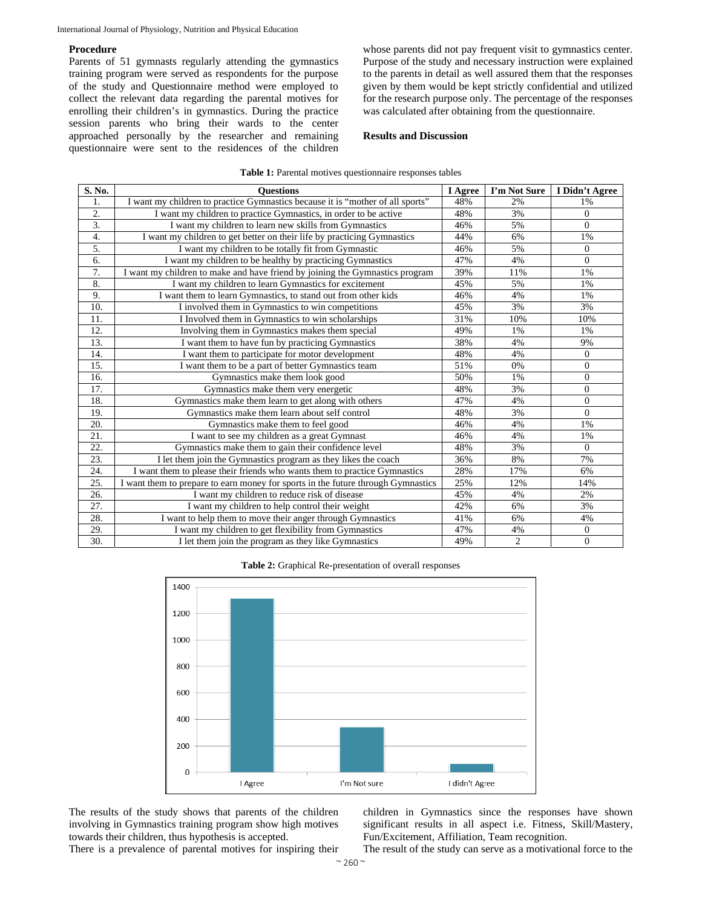### **Procedure**

Parents of 51 gymnasts regularly attending the gymnastics training program were served as respondents for the purpose of the study and Questionnaire method were employed to collect the relevant data regarding the parental motives for enrolling their children's in gymnastics. During the practice session parents who bring their wards to the center approached personally by the researcher and remaining questionnaire were sent to the residences of the children whose parents did not pay frequent visit to gymnastics center. Purpose of the study and necessary instruction were explained to the parents in detail as well assured them that the responses given by them would be kept strictly confidential and utilized for the research purpose only. The percentage of the responses was calculated after obtaining from the questionnaire.

#### **Results and Discussion**

| <b>Table 1:</b> Parental motives questionnaire responses tables |  |  |  |
|-----------------------------------------------------------------|--|--|--|
|-----------------------------------------------------------------|--|--|--|

| S. No.            | <b>Ouestions</b>                                                                 | I Agree | I'm Not Sure   | I Didn't Agree |
|-------------------|----------------------------------------------------------------------------------|---------|----------------|----------------|
| 1.                | I want my children to practice Gymnastics because it is "mother of all sports"   | 48%     | 2%             | 1%             |
| $\overline{2}$ .  | I want my children to practice Gymnastics, in order to be active                 | 48%     | 3%             | $\overline{0}$ |
| 3.                | I want my children to learn new skills from Gymnastics                           | 46%     | 5%             | $\Omega$       |
| 4.                | I want my children to get better on their life by practicing Gymnastics          | 44%     | 6%             | 1%             |
| 5.                | I want my children to be totally fit from Gymnastic                              | 46%     | 5%             | $\overline{0}$ |
| 6.                | I want my children to be healthy by practicing Gymnastics                        | 47%     | 4%             | $\Omega$       |
| 7.                | I want my children to make and have friend by joining the Gymnastics program     | 39%     | 11%            | 1%             |
| 8.                | I want my children to learn Gymnastics for excitement                            | 45%     | 5%             | 1%             |
| 9.                | I want them to learn Gymnastics, to stand out from other kids                    | 46%     | 4%             | 1%             |
| 10.               | I involved them in Gymnastics to win competitions                                | 45%     | 3%             | 3%             |
| 11.               | I Involved them in Gymnastics to win scholarships                                | 31%     | 10%            | 10%            |
| 12.               | Involving them in Gymnastics makes them special                                  | 49%     | 1%             | 1%             |
| 13.               | I want them to have fun by practicing Gymnastics                                 | 38%     | 4%             | 9%             |
| 14.               | I want them to participate for motor development                                 | 48%     | 4%             | $\mathbf{0}$   |
| 15.               | I want them to be a part of better Gymnastics team                               | 51%     | 0%             | $\mathbf{0}$   |
| 16.               | Gymnastics make them look good                                                   | 50%     | 1%             | $\mathbf{0}$   |
| 17.               | Gymnastics make them very energetic                                              | 48%     | 3%             | $\overline{0}$ |
| 18.               | Gymnastics make them learn to get along with others                              | 47%     | 4%             | $\Omega$       |
| 19.               | Gymnastics make them learn about self control                                    | 48%     | 3%             | $\Omega$       |
| 20.               | Gymnastics make them to feel good                                                | 46%     | 4%             | 1%             |
| 21.               | I want to see my children as a great Gymnast                                     | 46%     | 4%             | 1%             |
| $\overline{22}$ . | Gymnastics make them to gain their confidence level                              | 48%     | 3%             | $\Omega$       |
| 23.               | I let them join the Gymnastics program as they likes the coach                   | 36%     | 8%             | 7%             |
| 24.               | I want them to please their friends who wants them to practice Gymnastics        | 28%     | 17%            | 6%             |
| 25.               | I want them to prepare to earn money for sports in the future through Gymnastics | 25%     | 12%            | 14%            |
| 26.               | I want my children to reduce risk of disease                                     | 45%     | 4%             | 2%             |
| 27.               | I want my children to help control their weight                                  | 42%     | 6%             | 3%             |
| 28.               | I want to help them to move their anger through Gymnastics                       | 41%     | 6%             | 4%             |
| 29.               | I want my children to get flexibility from Gymnastics                            | 47%     | 4%             | $\mathbf{0}$   |
| 30.               | I let them join the program as they like Gymnastics                              | 49%     | $\overline{c}$ | $\overline{0}$ |

| <b>Table 2:</b> Graphical Re-presentation of overall responses |
|----------------------------------------------------------------|
|----------------------------------------------------------------|



The results of the study shows that parents of the children involving in Gymnastics training program show high motives towards their children, thus hypothesis is accepted.

children in Gymnastics since the responses have shown significant results in all aspect i.e. Fitness, Skill/Mastery, Fun/Excitement, Affiliation, Team recognition.

There is a prevalence of parental motives for inspiring their

The result of the study can serve as a motivational force to the